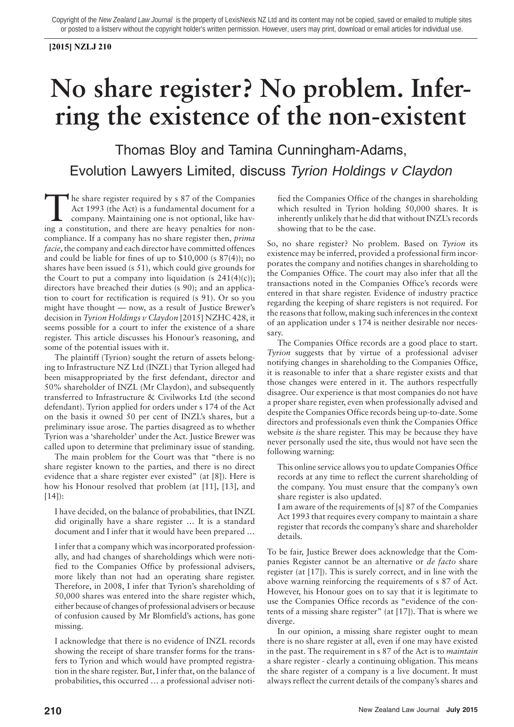## **[2015] NZLJ 210**

## **No share register? No problem. Inferring the existence of the non-existent**

Thomas Bloy and Tamina Cunningham-Adams, Evolution Lawyers Limited, discuss Tyrion Holdings v Claydon

The share register required by s 87 of the Companies<br>Act 1993 (the Act) is a fundamental document for a<br>company. Maintaining one is not optional, like hav-<br>ing a constitution, and there are heavy penalties for nonhe share register required by s 87 of the Companies Act 1993 (the Act) is a fundamental document for a company. Maintaining one is not optional, like havcompliance. If a company has no share register then, *prima facie*, the company and each director have committed offences and could be liable for fines of up to \$10,000 (s 87(4)); no shares have been issued (s 51), which could give grounds for the Court to put a company into liquidation (s  $241(4)(c)$ ); directors have breached their duties (s 90); and an application to court for rectification is required (s 91). Or so you might have thought — now, as a result of Justice Brewer's decision in *Tyrion Holdings v Claydon* [2015] NZHC 428, it seems possible for a court to infer the existence of a share register. This article discusses his Honour's reasoning, and some of the potential issues with it.

The plaintiff (Tyrion) sought the return of assets belonging to Infrastructure NZ Ltd (INZL) that Tyrion alleged had been misappropriated by the first defendant, director and 50% shareholder of INZL (Mr Claydon), and subsequently transferred to Infrastructure & Civilworks Ltd (the second defendant). Tyrion applied for orders under s 174 of the Act on the basis it owned 50 per cent of INZL's shares, but a preliminary issue arose. The parties disagreed as to whether Tyrion was a 'shareholder' under the Act. Justice Brewer was called upon to determine that preliminary issue of standing.

The main problem for the Court was that "there is no share register known to the parties, and there is no direct evidence that a share register ever existed" (at [8]). Here is how his Honour resolved that problem (at [11], [13], and [14]):

I have decided, on the balance of probabilities, that INZL did originally have a share register … It is a standard document and I infer that it would have been prepared …

I infer that a company which was incorporated professionally, and had changes of shareholdings which were notified to the Companies Office by professional advisers, more likely than not had an operating share register. Therefore, in 2008, I infer that Tyrion's shareholding of 50,000 shares was entered into the share register which, either because of changes of professional advisers or because of confusion caused by Mr Blomfield's actions, has gone missing.

I acknowledge that there is no evidence of INZL records showing the receipt of share transfer forms for the transfers to Tyrion and which would have prompted registration in the share register. But, I infer that, on the balance of probabilities, this occurred … a professional adviser notified the Companies Office of the changes in shareholding which resulted in Tyrion holding 50,000 shares. It is inherently unlikely that he did that without INZL's records showing that to be the case.

So, no share register? No problem. Based on *Tyrion* its existence may be inferred, provided a professional firm incorporates the company and notifies changes in shareholding to the Companies Office. The court may also infer that all the transactions noted in the Companies Office's records were entered in that share register. Evidence of industry practice regarding the keeping of share registers is not required. For the reasons that follow, making such inferences in the context of an application under s 174 is neither desirable nor necessary.

The Companies Office records are a good place to start. *Tyrion* suggests that by virtue of a professional adviser notifying changes in shareholding to the Companies Office, it is reasonable to infer that a share register exists and that those changes were entered in it. The authors respectfully disagree. Our experience is that most companies do not have a proper share register, even when professionally advised and despite the Companies Office records being up-to-date. Some directors and professionals even think the Companies Office website *is* the share register. This may be because they have never personally used the site, thus would not have seen the following warning:

- This online service allows you to update Companies Office records at any time to reflect the current shareholding of the company. You must ensure that the company's own share register is also updated.
- I am aware of the requirements of [s] 87 of the Companies Act 1993 that requires every company to maintain a share register that records the company's share and shareholder details.

To be fair, Justice Brewer does acknowledge that the Companies Register cannot be an alternative or *de facto* share register (at [17]). This is surely correct, and in line with the above warning reinforcing the requirements of s 87 of Act. However, his Honour goes on to say that it is legitimate to use the Companies Office records as "evidence of the contents of a missing share register" (at [17]). That is where we diverge.

In our opinion, a missing share register ought to mean there is no share register at all, even if one may have existed in the past. The requirement in s 87 of the Act is to *maintain* a share register - clearly a continuing obligation. This means the share register of a company is a live document. It must always reflect the current details of the company's shares and